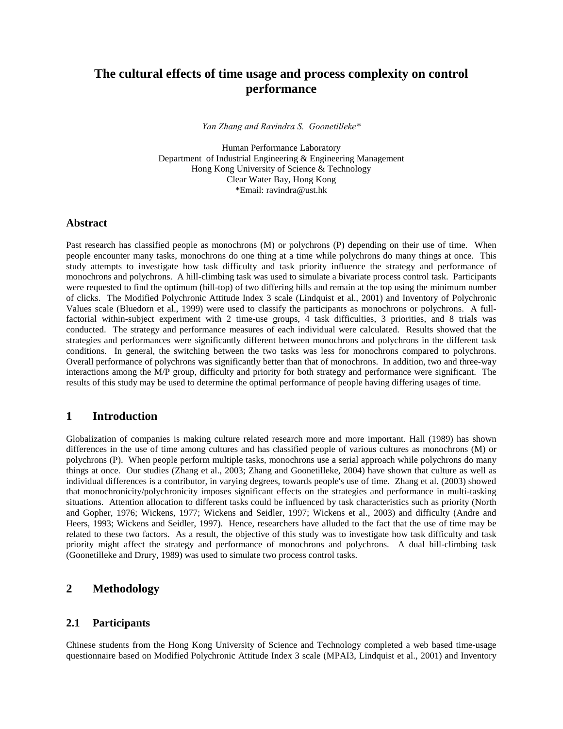# **The cultural effects of time usage and process complexity on control performance**

*Yan Zhang and Ravindra S. Goonetilleke\** 

Human Performance Laboratory Department of Industrial Engineering & Engineering Management Hong Kong University of Science & Technology Clear Water Bay, Hong Kong \*Email: ravindra@ust.hk

## **Abstract**

Past research has classified people as monochrons (M) or polychrons (P) depending on their use of time. When people encounter many tasks, monochrons do one thing at a time while polychrons do many things at once. This study attempts to investigate how task difficulty and task priority influence the strategy and performance of monochrons and polychrons. A hill-climbing task was used to simulate a bivariate process control task. Participants were requested to find the optimum (hill-top) of two differing hills and remain at the top using the minimum number of clicks. The Modified Polychronic Attitude Index 3 scale (Lindquist et al., 2001) and Inventory of Polychronic Values scale (Bluedorn et al., 1999) were used to classify the participants as monochrons or polychrons. A fullfactorial within-subject experiment with 2 time-use groups, 4 task difficulties, 3 priorities, and 8 trials was conducted. The strategy and performance measures of each individual were calculated. Results showed that the strategies and performances were significantly different between monochrons and polychrons in the different task conditions. In general, the switching between the two tasks was less for monochrons compared to polychrons. Overall performance of polychrons was significantly better than that of monochrons. In addition, two and three-way interactions among the M/P group, difficulty and priority for both strategy and performance were significant. The results of this study may be used to determine the optimal performance of people having differing usages of time.

## **1 Introduction**

Globalization of companies is making culture related research more and more important. Hall (1989) has shown differences in the use of time among cultures and has classified people of various cultures as monochrons (M) or polychrons (P). When people perform multiple tasks, monochrons use a serial approach while polychrons do many things at once. Our studies (Zhang et al., 2003; Zhang and Goonetilleke, 2004) have shown that culture as well as individual differences is a contributor, in varying degrees, towards people's use of time. Zhang et al. (2003) showed that monochronicity/polychronicity imposes significant effects on the strategies and performance in multi-tasking situations. Attention allocation to different tasks could be influenced by task characteristics such as priority (North and Gopher, 1976; Wickens, 1977; Wickens and Seidler, 1997; Wickens et al., 2003) and difficulty (Andre and Heers, 1993; Wickens and Seidler, 1997). Hence, researchers have alluded to the fact that the use of time may be related to these two factors. As a result, the objective of this study was to investigate how task difficulty and task priority might affect the strategy and performance of monochrons and polychrons. A dual hill-climbing task (Goonetilleke and Drury, 1989) was used to simulate two process control tasks.

# **2 Methodology**

## **2.1 Participants**

Chinese students from the Hong Kong University of Science and Technology completed a web based time-usage questionnaire based on Modified Polychronic Attitude Index 3 scale (MPAI3, Lindquist et al., 2001) and Inventory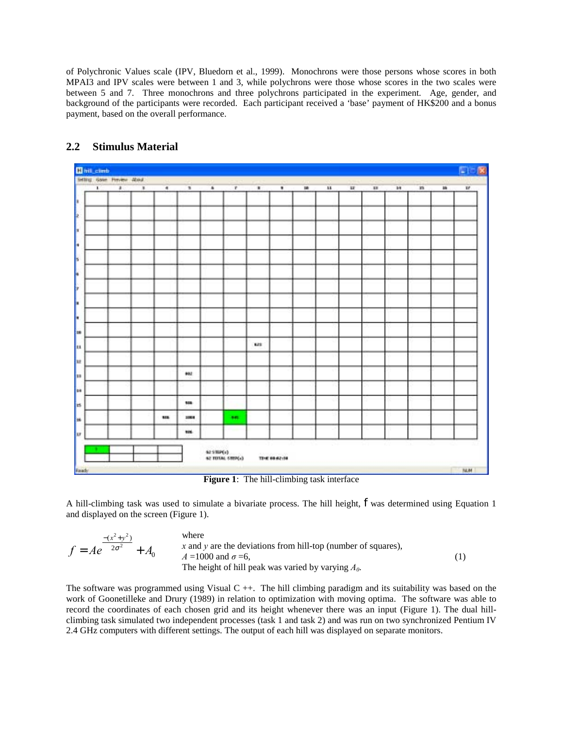of Polychronic Values scale (IPV, Bluedorn et al., 1999). Monochrons were those persons whose scores in both MPAI3 and IPV scales were between 1 and 3, while polychrons were those whose scores in the two scales were between 5 and 7. Three monochrons and three polychrons participated in the experiment. Age, gender, and background of the participants were recorded. Each participant received a 'base' payment of HK\$200 and a bonus payment, based on the overall performance.



# **2.2 Stimulus Material**

**Figure 1**: The hill-climbing task interface

A hill-climbing task was used to simulate a bivariate process. The hill height, *f* was determined using Equation 1 and displayed on the screen (Figure 1).

| $-(x^2 + y^2)$                    | where                                                         |  |
|-----------------------------------|---------------------------------------------------------------|--|
| $f = Ae^{-2\sigma^2}$<br>$+A_{0}$ | x and y are the deviations from hill-top (number of squares). |  |
|                                   | $A = 1000$ and $\sigma = 6$ .                                 |  |
|                                   | The height of hill peak was varied by varying $A_0$ .         |  |

The software was programmed using Visual  $C ++$ . The hill climbing paradigm and its suitability was based on the work of Goonetilleke and Drury (1989) in relation to optimization with moving optima. The software was able to record the coordinates of each chosen grid and its height whenever there was an input (Figure 1). The dual hillclimbing task simulated two independent processes (task 1 and task 2) and was run on two synchronized Pentium IV 2.4 GHz computers with different settings. The output of each hill was displayed on separate monitors.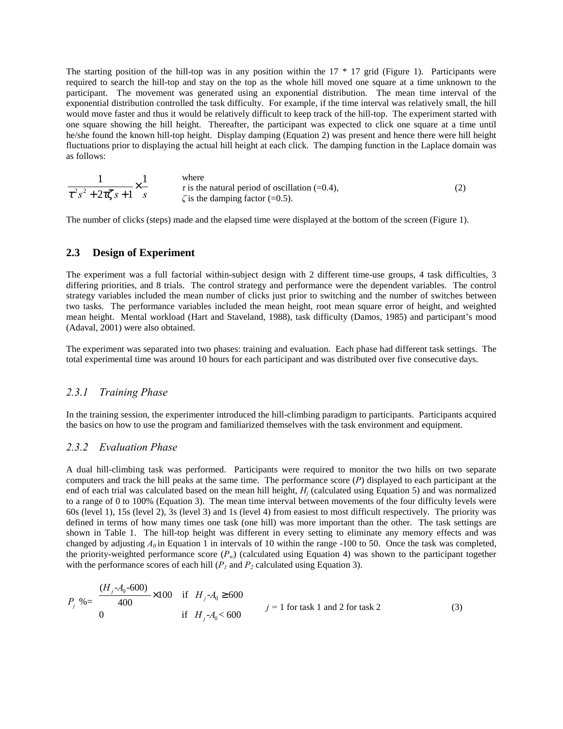The starting position of the hill-top was in any position within the 17 \* 17 grid (Figure 1). Participants were required to search the hill-top and stay on the top as the whole hill moved one square at a time unknown to the participant. The movement was generated using an exponential distribution. The mean time interval of the exponential distribution controlled the task difficulty. For example, if the time interval was relatively small, the hill would move faster and thus it would be relatively difficult to keep track of the hill-top. The experiment started with one square showing the hill height. Thereafter, the participant was expected to click one square at a time until he/she found the known hill-top height. Display damping (Equation 2) was present and hence there were hill height fluctuations prior to displaying the actual hill height at each click. The damping function in the Laplace domain was as follows:

|                                    | where                                               |  |
|------------------------------------|-----------------------------------------------------|--|
|                                    | $\tau$ is the natural period of oscillation (=0.4), |  |
| $\tau^2 s^2 + 2\tau \zeta s + 1$ s | $\zeta$ is the damping factor (=0.5).               |  |

The number of clicks (steps) made and the elapsed time were displayed at the bottom of the screen (Figure 1).

## **2.3 Design of Experiment**

The experiment was a full factorial within-subject design with 2 different time-use groups, 4 task difficulties, 3 differing priorities, and 8 trials. The control strategy and performance were the dependent variables. The control strategy variables included the mean number of clicks just prior to switching and the number of switches between two tasks. The performance variables included the mean height, root mean square error of height, and weighted mean height. Mental workload (Hart and Staveland, 1988), task difficulty (Damos, 1985) and participant's mood (Adaval, 2001) were also obtained.

The experiment was separated into two phases: training and evaluation. Each phase had different task settings. The total experimental time was around 10 hours for each participant and was distributed over five consecutive days.

#### *2.3.1 Training Phase*

In the training session, the experimenter introduced the hill-climbing paradigm to participants. Participants acquired the basics on how to use the program and familiarized themselves with the task environment and equipment.

#### *2.3.2 Evaluation Phase*

A dual hill-climbing task was performed. Participants were required to monitor the two hills on two separate computers and track the hill peaks at the same time. The performance score (*P*) displayed to each participant at the end of each trial was calculated based on the mean hill height, *Hj* (calculated using Equation 5) and was normalized to a range of 0 to 100% (Equation 3). The mean time interval between movements of the four difficulty levels were 60s (level 1), 15s (level 2), 3s (level 3) and 1s (level 4) from easiest to most difficult respectively. The priority was defined in terms of how many times one task (one hill) was more important than the other. The task settings are shown in Table 1. The hill-top height was different in every setting to eliminate any memory effects and was changed by adjusting  $A_0$  in Equation 1 in intervals of 10 within the range -100 to 50. Once the task was completed, the priority-weighted performance score  $(P_w)$  (calculated using Equation 4) was shown to the participant together with the performance scores of each hill  $(P_I \text{ and } P_2 \text{ calculated using Equation 3}).$ 

$$
P_j \% = \begin{cases} \frac{(H_j - A_0 - 600)}{400} \times 100 & \text{if } H_j - A_0 \ge 600\\ 0 & \text{if } H_j - A_0 < 600 \end{cases} \qquad j = 1 \text{ for task 1 and 2 for task 2} \tag{3}
$$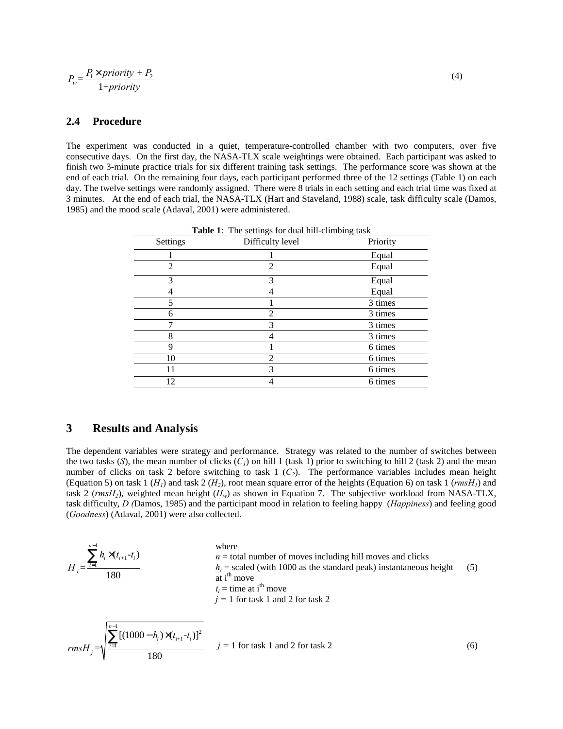$$
P_w = \frac{P_1 \times priority + P_2}{1 + priority} \tag{4}
$$

#### **2.4 Procedure**

The experiment was conducted in a quiet, temperature-controlled chamber with two computers, over five consecutive days. On the first day, the NASA-TLX scale weightings were obtained. Each participant was asked to finish two 3-minute practice trials for six different training task settings. The performance score was shown at the end of each trial. On the remaining four days, each participant performed three of the 12 settings (Table 1) on each day. The twelve settings were randomly assigned. There were 8 trials in each setting and each trial time was fixed at 3 minutes. At the end of each trial, the NASA-TLX (Hart and Staveland, 1988) scale, task difficulty scale (Damos, 1985) and the mood scale (Adaval, 2001) were administered.

| Settings | Difficulty level | Priority |
|----------|------------------|----------|
|          |                  | Equal    |
| 2        | $\overline{c}$   | Equal    |
| 3        | 3                | Equal    |
|          |                  | Equal    |
| 5        |                  | 3 times  |
| 6        | $\overline{c}$   | 3 times  |
|          | 3                | 3 times  |
| 8        |                  | 3 times  |
| 9        |                  | 6 times  |
| 10       | $\overline{2}$   | 6 times  |
| 11       | 3                | 6 times  |
| 12       |                  | 6 times  |

**Table 1**: The settings for dual hill-climbing task

## **3 Results and Analysis**

The dependent variables were strategy and performance. Strategy was related to the number of switches between the two tasks (*S*), the mean number of clicks  $(C_l)$  on hill 1 (task 1) prior to switching to hill 2 (task 2) and the mean number of clicks on task 2 before switching to task 1 (*C2*). The performance variables includes mean height (Equation 5) on task 1 ( $H_l$ ) and task 2 ( $H_2$ ), root mean square error of the heights (Equation 6) on task 1 ( $rmsH_l$ ) and task 2 (*rmsH2*), weighted mean height (*Hw*) as shown in Equation 7. The subjective workload from NASA-TLX, task difficulty, *D (*Damos, 1985) and the participant mood in relation to feeling happy (*Happiness*) and feeling good (*Goodness*) (Adaval, 2001) were also collected.

$$
H_{j} = \frac{\sum_{i=1}^{n-1} h_{i} \times (t_{i+1} - t_{i})}{180}
$$
\nwhere\n
$$
h_{i} = \text{total number of moves including hill moves and clicks}
$$
\n
$$
h_{i} = \text{scaled (with 1000 as the standard peak) instantaneous height}
$$
\n
$$
t_{i} = \text{time at i}^{th}
$$
\n
$$
j = 1 \text{ for task 1 and 2 for task 2}
$$
\n
$$
n = \text{total number of moves including hill moves and clicks}
$$
\n
$$
t_{i} = \text{total number of moves including hill moves and clicks}
$$

$$
rmsH_{j} = \sqrt{\frac{\sum_{i=1}^{N} [(1000 - h_{i}) \times (t_{i+1} - t_{i})]^{2}}{180}}
$$
   
  $j = 1$  for task 1 and 2 for task 2 (6)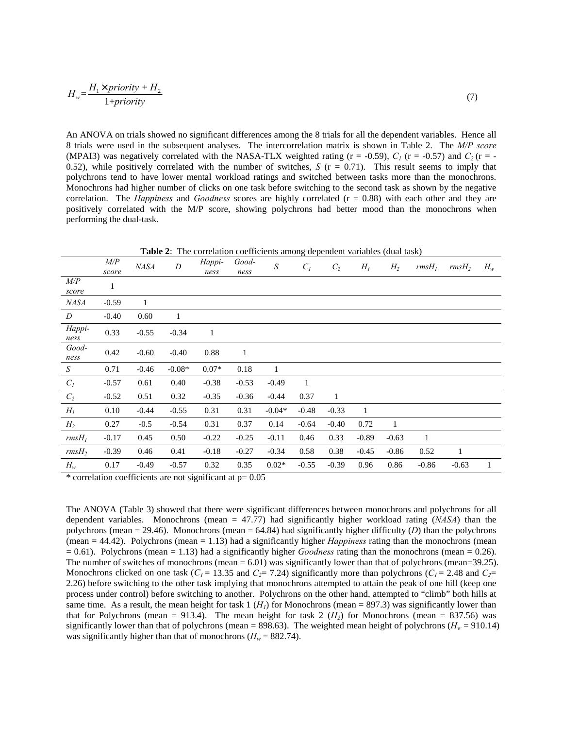$$
H_w = \frac{H_1 \times priority + H_2}{1 + priority} \tag{7}
$$

An ANOVA on trials showed no significant differences among the 8 trials for all the dependent variables. Hence all 8 trials were used in the subsequent analyses. The intercorrelation matrix is shown in Table 2. The *M/P score* (MPAI3) was negatively correlated with the NASA-TLX weighted rating ( $r = -0.59$ ),  $C_I$  ( $r = -0.57$ ) and  $C_2$  ( $r = -0.57$ ) 0.52), while positively correlated with the number of switches,  $S$  ( $r = 0.71$ ). This result seems to imply that polychrons tend to have lower mental workload ratings and switched between tasks more than the monochrons. Monochrons had higher number of clicks on one task before switching to the second task as shown by the negative correlation. The *Happiness* and *Goodness* scores are highly correlated (r = 0.88) with each other and they are positively correlated with the M/P score, showing polychrons had better mood than the monochrons when performing the dual-task.

**Table 2**: The correlation coefficients among dependent variables (dual task)

|                   | M/P<br>score | <b>NASA</b> | $\boldsymbol{D}$ | Happi-<br>ness | Good-<br>ness | ${\cal S}$ | $C_I$   | $C_2$        | $H_I$   | $H_2$   | $rmsH_1$     | rmsH <sub>2</sub> | $H_w$ |
|-------------------|--------------|-------------|------------------|----------------|---------------|------------|---------|--------------|---------|---------|--------------|-------------------|-------|
| M/P<br>score      | 1            |             |                  |                |               |            |         |              |         |         |              |                   |       |
| NASA              | $-0.59$      | 1           |                  |                |               |            |         |              |         |         |              |                   |       |
| D                 | $-0.40$      | 0.60        | 1                |                |               |            |         |              |         |         |              |                   |       |
| Happi-<br>ness    | 0.33         | $-0.55$     | $-0.34$          | $\mathbf{1}$   |               |            |         |              |         |         |              |                   |       |
| Good-<br>ness     | 0.42         | $-0.60$     | $-0.40$          | 0.88           | 1             |            |         |              |         |         |              |                   |       |
| ${\cal S}$        | 0.71         | $-0.46$     | $-0.08*$         | $0.07*$        | 0.18          | 1          |         |              |         |         |              |                   |       |
| $C_I$             | $-0.57$      | 0.61        | 0.40             | $-0.38$        | $-0.53$       | $-0.49$    | 1       |              |         |         |              |                   |       |
| $C_2$             | $-0.52$      | 0.51        | 0.32             | $-0.35$        | $-0.36$       | $-0.44$    | 0.37    | $\mathbf{1}$ |         |         |              |                   |       |
| $H_I$             | 0.10         | $-0.44$     | $-0.55$          | 0.31           | 0.31          | $-0.04*$   | $-0.48$ | $-0.33$      | -1      |         |              |                   |       |
| $H_2$             | 0.27         | $-0.5$      | $-0.54$          | 0.31           | 0.37          | 0.14       | $-0.64$ | $-0.40$      | 0.72    | -1      |              |                   |       |
| rmsH <sub>I</sub> | $-0.17$      | 0.45        | 0.50             | $-0.22$        | $-0.25$       | $-0.11$    | 0.46    | 0.33         | $-0.89$ | $-0.63$ | $\mathbf{1}$ |                   |       |
| rmsH <sub>2</sub> | $-0.39$      | 0.46        | 0.41             | $-0.18$        | $-0.27$       | $-0.34$    | 0.58    | 0.38         | $-0.45$ | $-0.86$ | 0.52         | 1                 |       |
| $H_w$             | 0.17         | $-0.49$     | $-0.57$          | 0.32           | 0.35          | $0.02*$    | $-0.55$ | $-0.39$      | 0.96    | 0.86    | $-0.86$      | $-0.63$           | 1     |

 $*$  correlation coefficients are not significant at  $p=0.05$ 

The ANOVA (Table 3) showed that there were significant differences between monochrons and polychrons for all dependent variables. Monochrons (mean = 47.77) had significantly higher workload rating (*NASA*) than the polychrons (mean = 29.46). Monochrons (mean = 64.84) had significantly higher difficulty  $(D)$  than the polychrons (mean = 44.42). Polychrons (mean = 1.13) had a significantly higher *Happiness* rating than the monochrons (mean  $= 0.61$ ). Polychrons (mean  $= 1.13$ ) had a significantly higher *Goodness* rating than the monochrons (mean  $= 0.26$ ). The number of switches of monochrons (mean  $= 6.01$ ) was significantly lower than that of polychrons (mean=39.25). Monochrons clicked on one task ( $C_1$  = 13.35 and  $C_2$  = 7.24) significantly more than polychrons ( $C_1$  = 2.48 and  $C_2$  = 2.26) before switching to the other task implying that monochrons attempted to attain the peak of one hill (keep one process under control) before switching to another. Polychrons on the other hand, attempted to "climb" both hills at same time. As a result, the mean height for task  $1 (H<sub>I</sub>)$  for Monochrons (mean = 897.3) was significantly lower than that for Polychrons (mean = 913.4). The mean height for task 2  $(H<sub>2</sub>)$  for Monochrons (mean = 837.56) was significantly lower than that of polychrons (mean = 898.63). The weighted mean height of polychrons ( $H_w$  = 910.14) was significantly higher than that of monochrons  $(H_w = 882.74)$ .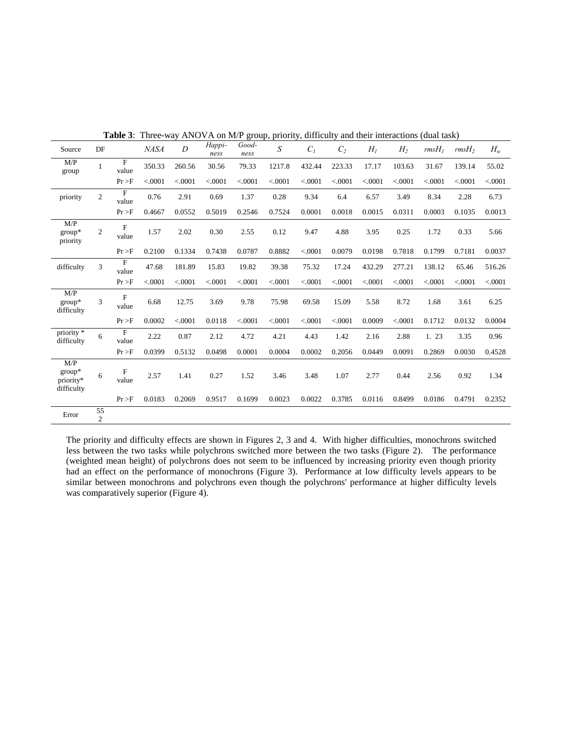| Source                                     | DF                   |                         | <b>NASA</b> | $\boldsymbol{D}$ | Happi-<br>ness | Good-<br>ness | $\boldsymbol{S}$ | $C_I$    | C <sub>2</sub> | $H_I$   | H <sub>2</sub> | $rmsH_1$ | rmsH <sub>2</sub> | $H_w$   |
|--------------------------------------------|----------------------|-------------------------|-------------|------------------|----------------|---------------|------------------|----------|----------------|---------|----------------|----------|-------------------|---------|
| M/P<br>group                               | $\mathbf{1}$         | F<br>value              | 350.33      | 260.56           | 30.56          | 79.33         | 1217.8           | 432.44   | 223.33         | 17.17   | 103.63         | 31.67    | 139.14            | 55.02   |
|                                            |                      | Pr > F                  | < .0001     | < .0001          | < .0001        | < .0001       | < 0.0001         | < 0.0001 | < .0001        | < .0001 | < .0001        | < .0001  | < .0001           | < .0001 |
| priority                                   | $\mathbf{2}$         | $\overline{F}$<br>value | 0.76        | 2.91             | 0.69           | 1.37          | 0.28             | 9.34     | 6.4            | 6.57    | 3.49           | 8.34     | 2.28              | 6.73    |
|                                            |                      | Pr > F                  | 0.4667      | 0.0552           | 0.5019         | 0.2546        | 0.7524           | 0.0001   | 0.0018         | 0.0015  | 0.0311         | 0.0003   | 0.1035            | 0.0013  |
| M/P<br>group*<br>priority                  | $\boldsymbol{2}$     | F<br>value              | 1.57        | 2.02             | 0.30           | 2.55          | 0.12             | 9.47     | 4.88           | 3.95    | 0.25           | 1.72     | 0.33              | 5.66    |
|                                            |                      | Pr > F                  | 0.2100      | 0.1334           | 0.7438         | 0.0787        | 0.8882           | < 0001   | 0.0079         | 0.0198  | 0.7818         | 0.1799   | 0.7181            | 0.0037  |
| difficulty                                 | 3                    | F<br>value              | 47.68       | 181.89           | 15.83          | 19.82         | 39.38            | 75.32    | 17.24          | 432.29  | 277.21         | 138.12   | 65.46             | 516.26  |
|                                            |                      | Pr > F                  | < 0001      | < .0001          | < 0001         | < 0001        | < .0001          | < 0001   | < .0001        | < .0001 | < 0001         | < 0.0001 | < 0001            | < .0001 |
| M/P<br>$group*$<br>difficulty              | 3                    | $\mathbf F$<br>value    | 6.68        | 12.75            | 3.69           | 9.78          | 75.98            | 69.58    | 15.09          | 5.58    | 8.72           | 1.68     | 3.61              | 6.25    |
|                                            |                      | Pr > F                  | 0.0002      | < .0001          | 0.0118         | < 0001        | < .0001          | < .0001  | < .0001        | 0.0009  | < 0001         | 0.1712   | 0.0132            | 0.0004  |
| priority <sup>*</sup><br>difficulty        | 6                    | F<br>value              | 2.22        | 0.87             | 2.12           | 4.72          | 4.21             | 4.43     | 1.42           | 2.16    | 2.88           | 1. 23    | 3.35              | 0.96    |
|                                            |                      | Pr > F                  | 0.0399      | 0.5132           | 0.0498         | 0.0001        | 0.0004           | 0.0002   | 0.2056         | 0.0449  | 0.0091         | 0.2869   | 0.0030            | 0.4528  |
| M/P<br>$group*$<br>priority*<br>difficulty | 6                    | F<br>value              | 2.57        | 1.41             | 0.27           | 1.52          | 3.46             | 3.48     | 1.07           | 2.77    | 0.44           | 2.56     | 0.92              | 1.34    |
|                                            |                      | Pr > F                  | 0.0183      | 0.2069           | 0.9517         | 0.1699        | 0.0023           | 0.0022   | 0.3785         | 0.0116  | 0.8499         | 0.0186   | 0.4791            | 0.2352  |
| Error                                      | 55<br>$\overline{c}$ |                         |             |                  |                |               |                  |          |                |         |                |          |                   |         |

**Table 3**: Three-way ANOVA on M/P group, priority, difficulty and their interactions (dual task)

The priority and difficulty effects are shown in Figures 2, 3 and 4. With higher difficulties, monochrons switched less between the two tasks while polychrons switched more between the two tasks (Figure 2). The performance (weighted mean height) of polychrons does not seem to be influenced by increasing priority even though priority had an effect on the performance of monochrons (Figure 3). Performance at low difficulty levels appears to be similar between monochrons and polychrons even though the polychrons' performance at higher difficulty levels was comparatively superior (Figure 4).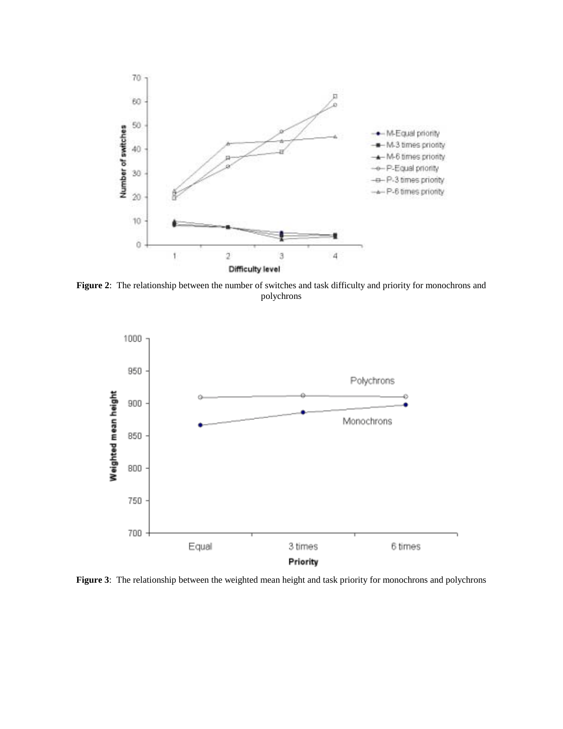

**Figure 2**: The relationship between the number of switches and task difficulty and priority for monochrons and polychrons



**Figure 3**: The relationship between the weighted mean height and task priority for monochrons and polychrons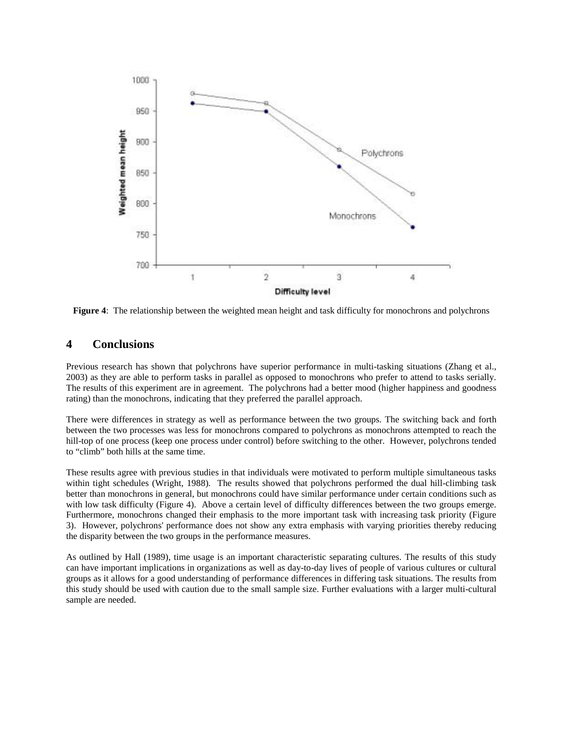

**Figure 4**: The relationship between the weighted mean height and task difficulty for monochrons and polychrons

## **4 Conclusions**

Previous research has shown that polychrons have superior performance in multi-tasking situations (Zhang et al., 2003) as they are able to perform tasks in parallel as opposed to monochrons who prefer to attend to tasks serially. The results of this experiment are in agreement. The polychrons had a better mood (higher happiness and goodness rating) than the monochrons, indicating that they preferred the parallel approach.

There were differences in strategy as well as performance between the two groups. The switching back and forth between the two processes was less for monochrons compared to polychrons as monochrons attempted to reach the hill-top of one process (keep one process under control) before switching to the other. However, polychrons tended to "climb" both hills at the same time.

These results agree with previous studies in that individuals were motivated to perform multiple simultaneous tasks within tight schedules (Wright, 1988). The results showed that polychrons performed the dual hill-climbing task better than monochrons in general, but monochrons could have similar performance under certain conditions such as with low task difficulty (Figure 4). Above a certain level of difficulty differences between the two groups emerge. Furthermore, monochrons changed their emphasis to the more important task with increasing task priority (Figure 3). However, polychrons' performance does not show any extra emphasis with varying priorities thereby reducing the disparity between the two groups in the performance measures.

As outlined by Hall (1989), time usage is an important characteristic separating cultures. The results of this study can have important implications in organizations as well as day-to-day lives of people of various cultures or cultural groups as it allows for a good understanding of performance differences in differing task situations. The results from this study should be used with caution due to the small sample size. Further evaluations with a larger multi-cultural sample are needed.